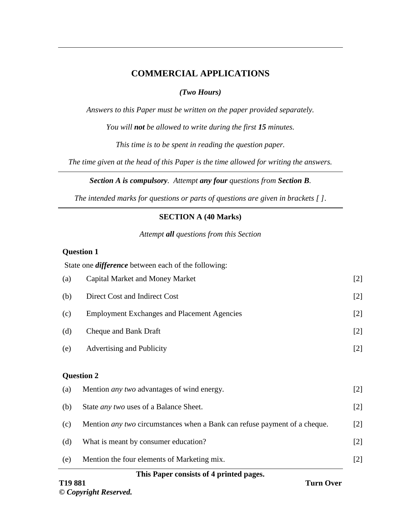# **COMMERCIAL APPLICATIONS**

## *(Two Hours)*

*Answers to this Paper must be written on the paper provided separately.*

*You will not be allowed to write during the first 15 minutes.*

*This time is to be spent in reading the question paper.*

*The time given at the head of this Paper is the time allowed for writing the answers.*

*Section A is compulsory. Attempt any four questions from Section B.*

*The intended marks for questions or parts of questions are given in brackets [ ]*.

## **SECTION A (40 Marks)**

*Attempt all questions from this Section*

#### **Question 1**

|     | State one <i>difference</i> between each of the following:                       |       |
|-----|----------------------------------------------------------------------------------|-------|
| (a) | <b>Capital Market and Money Market</b>                                           | $[2]$ |
| (b) | Direct Cost and Indirect Cost                                                    | $[2]$ |
| (c) | <b>Employment Exchanges and Placement Agencies</b>                               | $[2]$ |
| (d) | Cheque and Bank Draft                                                            | $[2]$ |
| (e) | Advertising and Publicity                                                        | $[2]$ |
|     | <b>Question 2</b>                                                                |       |
| (a) | Mention <i>any two</i> advantages of wind energy.                                | $[2]$ |
| (b) | State <i>any two</i> uses of a Balance Sheet.                                    | $[2]$ |
| (c) | Mention <i>any two</i> circumstances when a Bank can refuse payment of a cheque. | $[2]$ |
| (d) | What is meant by consumer education?                                             | $[2]$ |
| (e) | Mention the four elements of Marketing mix.                                      | $[2]$ |

### **This Paper consists of 4 printed pages.**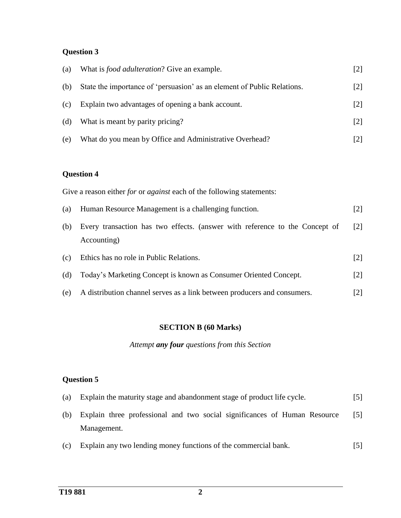## **Question 3**

| (a) | What is <i>food adulteration</i> ? Give an example.                     | [2]               |
|-----|-------------------------------------------------------------------------|-------------------|
| (b) | State the importance of 'persuasion' as an element of Public Relations. | [2]               |
| (c) | Explain two advantages of opening a bank account.                       | [2]               |
| (d) | What is meant by parity pricing?                                        | $\lceil 2 \rceil$ |
| (e) | What do you mean by Office and Administrative Overhead?                 |                   |

## **Question 4**

Give a reason either *for* or *against* each of the following statements:

| (a) Human Resource Management is a challenging function.                        |                   |  |  |
|---------------------------------------------------------------------------------|-------------------|--|--|
| (b) Every transaction has two effects. (answer with reference to the Concept of | $\lceil 2 \rceil$ |  |  |

- Accounting)
- (c) Ethics has no role in Public Relations. [2]
- (d) Today's Marketing Concept is known as Consumer Oriented Concept. [2]
- (e) A distribution channel serves as a link between producers and consumers. [2]

#### **SECTION B (60 Marks)**

*Attempt any four questions from this Section* 

## **Question 5**

| (a) Explain the maturity stage and abandonment stage of product life cycle.   |            |  |  |  |
|-------------------------------------------------------------------------------|------------|--|--|--|
| (b) Explain three professional and two social significances of Human Resource | <b>151</b> |  |  |  |
| Management.                                                                   |            |  |  |  |

(c) Explain any two lending money functions of the commercial bank. [5]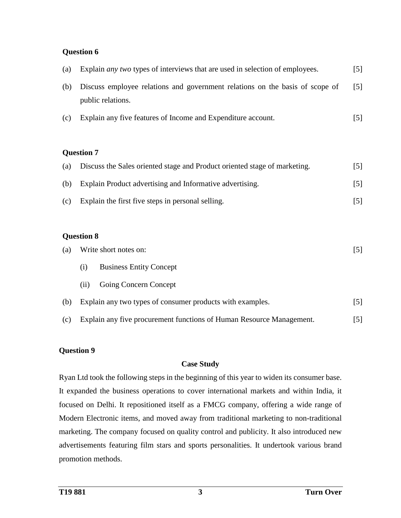#### **Question 6**

| (a) | Explain <i>any two</i> types of interviews that are used in selection of employees. | $\lceil 5 \rceil$ |
|-----|-------------------------------------------------------------------------------------|-------------------|
| (b) | Discuss employee relations and government relations on the basis of scope of        | $\lceil 5 \rceil$ |
|     | public relations.                                                                   |                   |
| (c) | Explain any five features of Income and Expenditure account.                        | [5]               |
|     |                                                                                     |                   |

#### **Question 7**

| (a) | Discuss the Sales oriented stage and Product oriented stage of marketing. | [5]               |
|-----|---------------------------------------------------------------------------|-------------------|
| (b) | Explain Product advertising and Informative advertising.                  | $\lceil 5 \rceil$ |
| (c) | Explain the first five steps in personal selling.                         | 5                 |

#### **Question 8**

| (a) | Write short notes on: |                                                                      | [5]               |
|-----|-----------------------|----------------------------------------------------------------------|-------------------|
|     | (i)                   | <b>Business Entity Concept</b>                                       |                   |
|     | (11)                  | Going Concern Concept                                                |                   |
| (b) |                       | Explain any two types of consumer products with examples.            | 151               |
| (c) |                       | Explain any five procurement functions of Human Resource Management. | $\lceil 5 \rceil$ |

## **Question 9**

#### **Case Study**

Ryan Ltd took the following steps in the beginning of this year to widen its consumer base. It expanded the business operations to cover international markets and within India, it focused on Delhi. It repositioned itself as a FMCG company, offering a wide range of Modern Electronic items, and moved away from traditional marketing to non-traditional marketing. The company focused on quality control and publicity. It also introduced new advertisements featuring film stars and sports personalities. It undertook various brand promotion methods.